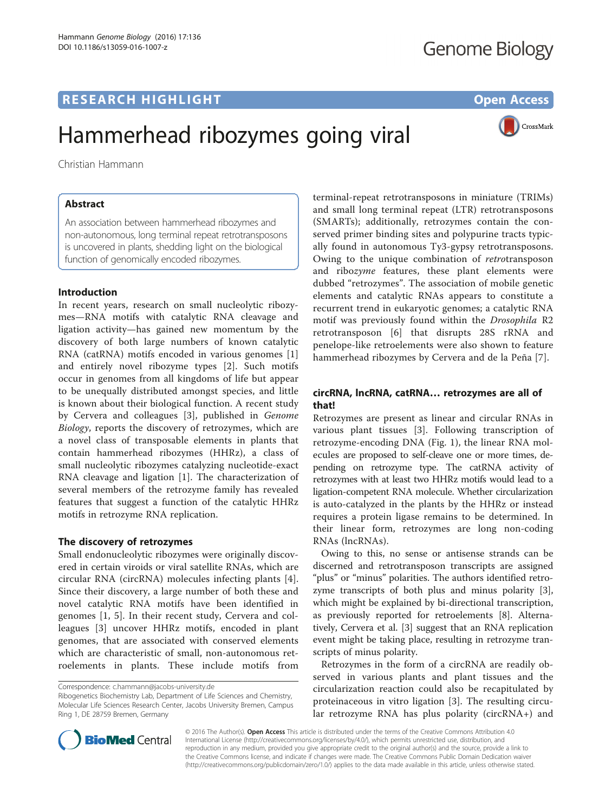# **RESEARCH HIGHLIGHT** THE OPEN ACCESS OPEN ACCESS

CrossMark

# Hammerhead ribozymes going viral

Christian Hammann

# Abstract

An association between hammerhead ribozymes and non-autonomous, long terminal repeat retrotransposons is uncovered in plants, shedding light on the biological function of genomically encoded ribozymes.

# Introduction

In recent years, research on small nucleolytic ribozymes—RNA motifs with catalytic RNA cleavage and ligation activity—has gained new momentum by the discovery of both large numbers of known catalytic RNA (catRNA) motifs encoded in various genomes [\[1](#page-2-0)] and entirely novel ribozyme types [[2\]](#page-2-0). Such motifs occur in genomes from all kingdoms of life but appear to be unequally distributed amongst species, and little is known about their biological function. A recent study by Cervera and colleagues [[3\]](#page-2-0), published in Genome Biology, reports the discovery of retrozymes, which are a novel class of transposable elements in plants that contain hammerhead ribozymes (HHRz), a class of small nucleolytic ribozymes catalyzing nucleotide-exact RNA cleavage and ligation [[1\]](#page-2-0). The characterization of several members of the retrozyme family has revealed features that suggest a function of the catalytic HHRz motifs in retrozyme RNA replication.

# The discovery of retrozymes

Small endonucleolytic ribozymes were originally discovered in certain viroids or viral satellite RNAs, which are circular RNA (circRNA) molecules infecting plants [\[4](#page-2-0)]. Since their discovery, a large number of both these and novel catalytic RNA motifs have been identified in genomes [\[1](#page-2-0), [5](#page-2-0)]. In their recent study, Cervera and colleagues [[3\]](#page-2-0) uncover HHRz motifs, encoded in plant genomes, that are associated with conserved elements which are characteristic of small, non-autonomous retroelements in plants. These include motifs from

Ribogenetics Biochemistry Lab, Department of Life Sciences and Chemistry, Molecular Life Sciences Research Center, Jacobs University Bremen, Campus Ring 1, DE 28759 Bremen, Germany

terminal-repeat retrotransposons in miniature (TRIMs) and small long terminal repeat (LTR) retrotransposons (SMARTs); additionally, retrozymes contain the conserved primer binding sites and polypurine tracts typically found in autonomous Ty3-gypsy retrotransposons. Owing to the unique combination of retrotransposon and ribozyme features, these plant elements were dubbed "retrozymes". The association of mobile genetic elements and catalytic RNAs appears to constitute a recurrent trend in eukaryotic genomes; a catalytic RNA motif was previously found within the Drosophila R2 retrotransposon [\[6](#page-2-0)] that disrupts 28S rRNA and penelope-like retroelements were also shown to feature hammerhead ribozymes by Cervera and de la Peña [[7](#page-2-0)].

# circRNA, lncRNA, catRNA… retrozymes are all of that!

Retrozymes are present as linear and circular RNAs in various plant tissues [\[3](#page-2-0)]. Following transcription of retrozyme-encoding DNA (Fig. [1](#page-1-0)), the linear RNA molecules are proposed to self-cleave one or more times, depending on retrozyme type. The catRNA activity of retrozymes with at least two HHRz motifs would lead to a ligation-competent RNA molecule. Whether circularization is auto-catalyzed in the plants by the HHRz or instead requires a protein ligase remains to be determined. In their linear form, retrozymes are long non-coding RNAs (lncRNAs).

Owing to this, no sense or antisense strands can be discerned and retrotransposon transcripts are assigned "plus" or "minus" polarities. The authors identified retrozyme transcripts of both plus and minus polarity [\[3](#page-2-0)], which might be explained by bi-directional transcription, as previously reported for retroelements [[8\]](#page-2-0). Alternatively, Cervera et al. [[3\]](#page-2-0) suggest that an RNA replication event might be taking place, resulting in retrozyme transcripts of minus polarity.

Retrozymes in the form of a circRNA are readily observed in various plants and plant tissues and the circularization reaction could also be recapitulated by proteinaceous in vitro ligation [[3\]](#page-2-0). The resulting circular retrozyme RNA has plus polarity (circRNA+) and



© 2016 The Author(s). Open Access This article is distributed under the terms of the Creative Commons Attribution 4.0 International License [\(http://creativecommons.org/licenses/by/4.0/](http://creativecommons.org/licenses/by/4.0/)), which permits unrestricted use, distribution, and reproduction in any medium, provided you give appropriate credit to the original author(s) and the source, provide a link to the Creative Commons license, and indicate if changes were made. The Creative Commons Public Domain Dedication waiver [\(http://creativecommons.org/publicdomain/zero/1.0/](http://dx.doi.org/10.1186/s13059-016-1002-4)) applies to the data made available in this article, unless otherwise stated.

Correspondence: [c.hammann@jacobs-university.de](mailto:c.hammann@jacobs-university.de)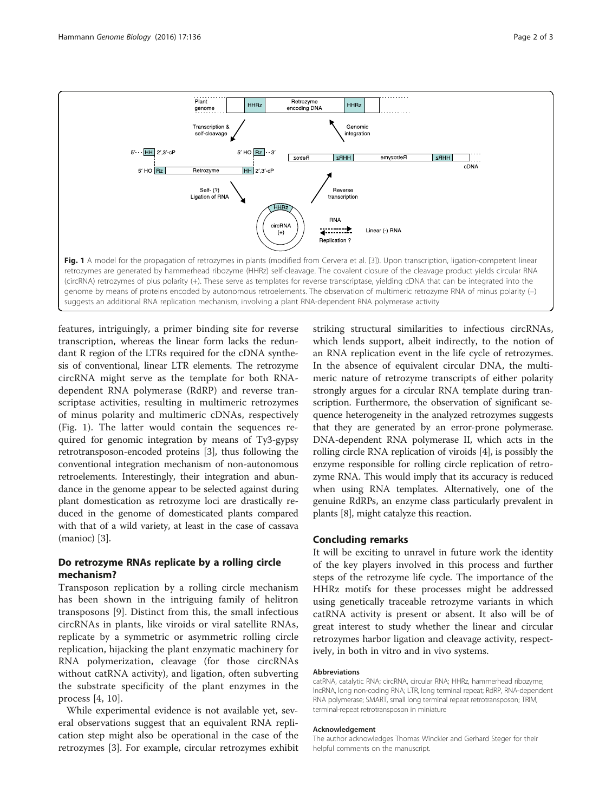<span id="page-1-0"></span>

features, intriguingly, a primer binding site for reverse transcription, whereas the linear form lacks the redundant R region of the LTRs required for the cDNA synthesis of conventional, linear LTR elements. The retrozyme circRNA might serve as the template for both RNAdependent RNA polymerase (RdRP) and reverse transcriptase activities, resulting in multimeric retrozymes of minus polarity and multimeric cDNAs, respectively (Fig. 1). The latter would contain the sequences required for genomic integration by means of Ty3-gypsy retrotransposon-encoded proteins [\[3](#page-2-0)], thus following the conventional integration mechanism of non-autonomous retroelements. Interestingly, their integration and abundance in the genome appear to be selected against during plant domestication as retrozyme loci are drastically reduced in the genome of domesticated plants compared with that of a wild variety, at least in the case of cassava (manioc) [\[3\]](#page-2-0).

# Do retrozyme RNAs replicate by a rolling circle mechanism?

Transposon replication by a rolling circle mechanism has been shown in the intriguing family of helitron transposons [\[9](#page-2-0)]. Distinct from this, the small infectious circRNAs in plants, like viroids or viral satellite RNAs, replicate by a symmetric or asymmetric rolling circle replication, hijacking the plant enzymatic machinery for RNA polymerization, cleavage (for those circRNAs without catRNA activity), and ligation, often subverting the substrate specificity of the plant enzymes in the process [[4, 10](#page-2-0)].

While experimental evidence is not available yet, several observations suggest that an equivalent RNA replication step might also be operational in the case of the retrozymes [[3](#page-2-0)]. For example, circular retrozymes exhibit striking structural similarities to infectious circRNAs, which lends support, albeit indirectly, to the notion of an RNA replication event in the life cycle of retrozymes. In the absence of equivalent circular DNA, the multimeric nature of retrozyme transcripts of either polarity strongly argues for a circular RNA template during transcription. Furthermore, the observation of significant sequence heterogeneity in the analyzed retrozymes suggests that they are generated by an error-prone polymerase. DNA-dependent RNA polymerase II, which acts in the rolling circle RNA replication of viroids [[4](#page-2-0)], is possibly the enzyme responsible for rolling circle replication of retrozyme RNA. This would imply that its accuracy is reduced when using RNA templates. Alternatively, one of the genuine RdRPs, an enzyme class particularly prevalent in plants [[8](#page-2-0)], might catalyze this reaction.

# Concluding remarks

It will be exciting to unravel in future work the identity of the key players involved in this process and further steps of the retrozyme life cycle. The importance of the HHRz motifs for these processes might be addressed using genetically traceable retrozyme variants in which catRNA activity is present or absent. It also will be of great interest to study whether the linear and circular retrozymes harbor ligation and cleavage activity, respectively, in both in vitro and in vivo systems.

#### Abbreviations

catRNA, catalytic RNA; circRNA, circular RNA; HHRz, hammerhead ribozyme; lncRNA, long non-coding RNA; LTR, long terminal repeat; RdRP, RNA-dependent RNA polymerase; SMART, small long terminal repeat retrotransposon; TRIM, terminal-repeat retrotransposon in miniature

#### Acknowledgement

The author acknowledges Thomas Winckler and Gerhard Steger for their helpful comments on the manuscript.